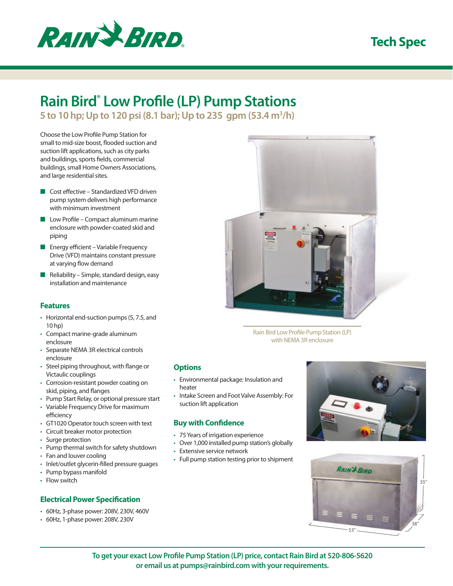

# **Tech Spec**

# **Rain Bird® Low Profile (LP) Pump Stations**

**5 to 10 hp; Up to 120 psi (8.1 bar); Up to 235 gpm (53.4 m3 /h)**

Choose the Low Profile Pump Station for small to mid-size boost, flooded suction and suction lift applications, such as city parks and buildings, sports fields, commercial buildings, small Home Owners Associations, and large residential sites.

- Cost effective Standardized VFD driven pump system delivers high performance with minimum investment
- Low Profile Compact aluminum marine enclosure with powder-coated skid and piping
- Energy efficient Variable Frequency Drive (VFD) maintains constant pressure at varying flow demand
- Reliability Simple, standard design, easy installation and maintenance

# **Features**

- Horizontal end-suction pumps (5, 7.5, and 10 hp)
- • Compact marine-grade aluminum enclosure
- • Separate NEMA 3R electrical controls enclosure
- Steel piping throughout, with flange or Victaulic couplings
- • Corrosion-resistant powder coating on skid, piping, and flanges
- • Pump Start Relay, or optional pressure start
- • Variable Frequency Drive for maximum efficiency
- • GT1020 Operator touch screen with text
- Circuit breaker motor protection
- Surge protection
- • Pump thermal switch for safety shutdown
- Fan and louver cooling
- Inlet/outlet glycerin-filled pressure guages
- • Pump bypass manifold
- Flow switch

# **Electrical Power Specification**

- • 60Hz, 3-phase power: 208V, 230V, 460V
- • 60Hz, 1-phase power: 208V, 230V



Rain Bird Low Profile Pump Station (LP) with NEMA 3R enclosure

### **Options**

- • Environmental package: Insulation and heater
- • Intake Screen and Foot Valve Assembly: For suction lift application

# **Buy with Confidence**

- • 75 Years of irrigation experience
- Over 1,000 installed pump station's globally
- • Extensive service network
- • Full pump station testing prior to shipment